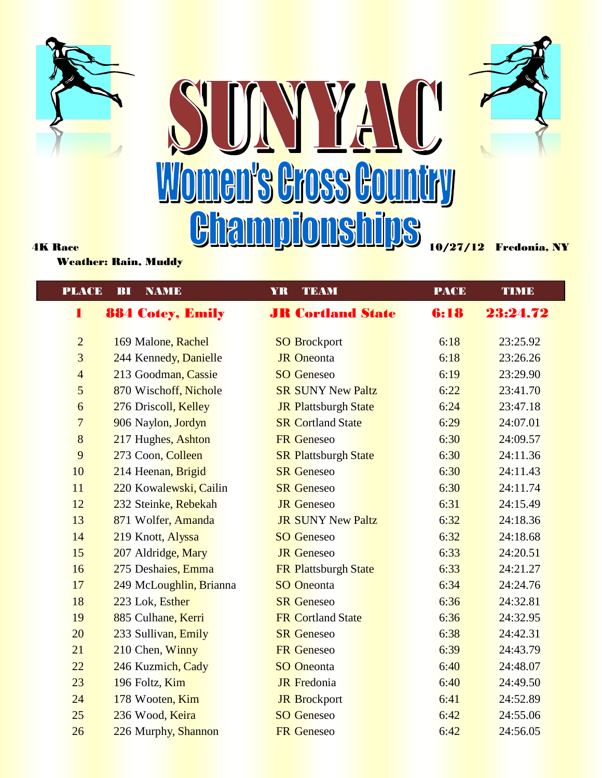



# SUNYAY Women's Gross Country **AK RACE 10/27/12 Fredonia, NY**

Weather: Rain, Muddy

| <b>PLACE</b>   | <b>NAME</b><br>BI       | <b>YR</b><br><b>TEAM</b>    | <b>PACE</b> | TIME     |
|----------------|-------------------------|-----------------------------|-------------|----------|
| L              | <b>884 Cotey, Emily</b> | <b>JR Cortland State</b>    | 6:18        | 23:24.72 |
| $\overline{2}$ | 169 Malone, Rachel      | <b>SO Brockport</b>         | 6:18        | 23:25.92 |
| $\overline{3}$ | 244 Kennedy, Danielle   | <b>JR</b> Oneonta           | 6:18        | 23:26.26 |
| $\overline{4}$ | 213 Goodman, Cassie     | <b>SO</b> Geneseo           | 6:19        | 23:29.90 |
| 5              | 870 Wischoff, Nichole   | <b>SR SUNY New Paltz</b>    | 6:22        | 23:41.70 |
| 6              | 276 Driscoll, Kelley    | <b>JR Plattsburgh State</b> | 6:24        | 23:47.18 |
| $\overline{7}$ | 906 Naylon, Jordyn      | <b>SR Cortland State</b>    | 6:29        | 24:07.01 |
| $8\,$          | 217 Hughes, Ashton      | <b>FR</b> Geneseo           | 6:30        | 24:09.57 |
| 9              | 273 Coon, Colleen       | <b>SR Plattsburgh State</b> | 6:30        | 24:11.36 |
| 10             | 214 Heenan, Brigid      | <b>SR</b> Geneseo           | 6:30        | 24:11.43 |
| 11             | 220 Kowalewski, Cailin  | <b>SR</b> Geneseo           | 6:30        | 24:11.74 |
| 12             | 232 Steinke, Rebekah    | <b>JR</b> Geneseo           | 6:31        | 24:15.49 |
| 13             | 871 Wolfer, Amanda      | <b>JR SUNY New Paltz</b>    | 6:32        | 24:18.36 |
| 14             | 219 Knott, Alyssa       | <b>SO</b> Geneseo           | 6:32        | 24:18.68 |
| 15             | 207 Aldridge, Mary      | <b>JR</b> Geneseo           | 6:33        | 24:20.51 |
| 16             | 275 Deshaies, Emma      | <b>FR Plattsburgh State</b> | 6:33        | 24:21.27 |
| 17             | 249 McLoughlin, Brianna | <b>SO</b> Oneonta           | 6:34        | 24:24.76 |
| 18             | 223 Lok, Esther         | <b>SR</b> Geneseo           | 6:36        | 24:32.81 |
| 19             | 885 Culhane, Kerri      | <b>FR Cortland State</b>    | 6:36        | 24:32.95 |
| 20             | 233 Sullivan, Emily     | <b>SR</b> Geneseo           | 6:38        | 24:42.31 |
| 21             | 210 Chen, Winny         | <b>FR</b> Geneseo           | 6:39        | 24:43.79 |
| 22             | 246 Kuzmich, Cady       | <b>SO</b> Oneonta           | 6:40        | 24:48.07 |
| 23             | 196 Foltz, Kim          | <b>JR</b> Fredonia          | 6:40        | 24:49.50 |
| 24             | 178 Wooten, Kim         | <b>JR</b> Brockport         | 6:41        | 24:52.89 |
| 25             | 236 Wood, Keira         | <b>SO</b> Geneseo           | 6:42        | 24:55.06 |
| 26             | 226 Murphy, Shannon     | <b>FR</b> Geneseo           | 6:42        | 24:56.05 |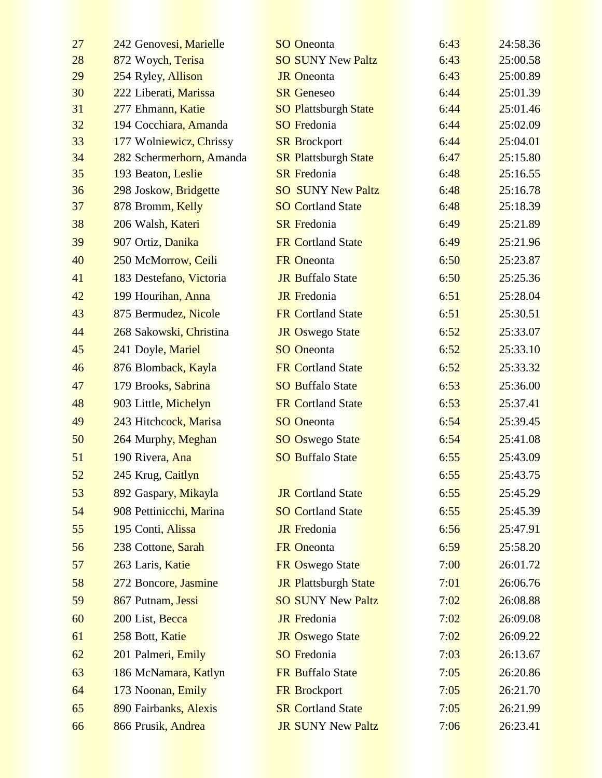| 27 | 242 Genovesi, Marielle   | <b>SO</b> Oneonta           | 6:43 | 24:58.36 |
|----|--------------------------|-----------------------------|------|----------|
| 28 | 872 Woych, Terisa        | <b>SO SUNY New Paltz</b>    | 6:43 | 25:00.58 |
| 29 | 254 Ryley, Allison       | <b>JR</b> Oneonta           | 6:43 | 25:00.89 |
| 30 | 222 Liberati, Marissa    | <b>SR</b> Geneseo           | 6:44 | 25:01.39 |
| 31 | 277 Ehmann, Katie        | <b>SO Plattsburgh State</b> | 6:44 | 25:01.46 |
| 32 | 194 Cocchiara, Amanda    | <b>SO</b> Fredonia          | 6:44 | 25:02.09 |
| 33 | 177 Wolniewicz, Chrissy  | <b>SR Brockport</b>         | 6:44 | 25:04.01 |
| 34 | 282 Schermerhorn, Amanda | <b>SR Plattsburgh State</b> | 6:47 | 25:15.80 |
| 35 | 193 Beaton, Leslie       | <b>SR</b> Fredonia          | 6:48 | 25:16.55 |
| 36 | 298 Joskow, Bridgette    | <b>SO SUNY New Paltz</b>    | 6:48 | 25:16.78 |
| 37 | 878 Bromm, Kelly         | <b>SO Cortland State</b>    | 6:48 | 25:18.39 |
| 38 | 206 Walsh, Kateri        | <b>SR</b> Fredonia          | 6:49 | 25:21.89 |
| 39 | 907 Ortiz, Danika        | <b>FR Cortland State</b>    | 6:49 | 25:21.96 |
| 40 | 250 McMorrow, Ceili      | <b>FR</b> Oneonta           | 6:50 | 25:23.87 |
| 41 | 183 Destefano, Victoria  | <b>JR Buffalo State</b>     | 6:50 | 25:25.36 |
| 42 | 199 Hourihan, Anna       | <b>JR</b> Fredonia          | 6:51 | 25:28.04 |
| 43 | 875 Bermudez, Nicole     | <b>FR Cortland State</b>    | 6:51 | 25:30.51 |
| 44 | 268 Sakowski, Christina  | <b>JR Oswego State</b>      | 6:52 | 25:33.07 |
| 45 | 241 Doyle, Mariel        | <b>SO</b> Oneonta           | 6:52 | 25:33.10 |
| 46 | 876 Blomback, Kayla      | <b>FR Cortland State</b>    | 6:52 | 25:33.32 |
| 47 | 179 Brooks, Sabrina      | <b>SO Buffalo State</b>     | 6:53 | 25:36.00 |
| 48 | 903 Little, Michelyn     | <b>FR Cortland State</b>    | 6:53 | 25:37.41 |
| 49 | 243 Hitchcock, Marisa    | <b>SO</b> Oneonta           | 6:54 | 25:39.45 |
| 50 | 264 Murphy, Meghan       | <b>SO Oswego State</b>      | 6:54 | 25:41.08 |
| 51 | 190 Rivera, Ana          | <b>SO Buffalo State</b>     | 6:55 | 25:43.09 |
| 52 | 245 Krug, Caitlyn        |                             | 6:55 | 25:43.75 |
| 53 | 892 Gaspary, Mikayla     | <b>JR Cortland State</b>    | 6:55 | 25:45.29 |
| 54 | 908 Pettinicchi, Marina  | <b>SO Cortland State</b>    | 6:55 | 25:45.39 |
| 55 | 195 Conti, Alissa        | <b>JR</b> Fredonia          | 6:56 | 25:47.91 |
| 56 | 238 Cottone, Sarah       | <b>FR</b> Oneonta           | 6:59 | 25:58.20 |
| 57 | 263 Laris, Katie         | <b>FR Oswego State</b>      | 7:00 | 26:01.72 |
| 58 | 272 Boncore, Jasmine     | <b>JR Plattsburgh State</b> | 7:01 | 26:06.76 |
| 59 | 867 Putnam, Jessi        | <b>SO SUNY New Paltz</b>    | 7:02 | 26:08.88 |
| 60 | 200 List, Becca          | <b>JR</b> Fredonia          | 7:02 | 26:09.08 |
| 61 | 258 Bott, Katie          | <b>JR Oswego State</b>      | 7:02 | 26:09.22 |
| 62 | 201 Palmeri, Emily       | <b>SO</b> Fredonia          | 7:03 | 26:13.67 |
| 63 | 186 McNamara, Katlyn     | <b>FR Buffalo State</b>     | 7:05 | 26:20.86 |
| 64 | 173 Noonan, Emily        | <b>FR Brockport</b>         | 7:05 | 26:21.70 |
| 65 | 890 Fairbanks, Alexis    | <b>SR Cortland State</b>    | 7:05 | 26:21.99 |
| 66 | 866 Prusik, Andrea       | <b>JR SUNY New Paltz</b>    | 7:06 | 26:23.41 |
|    |                          |                             |      |          |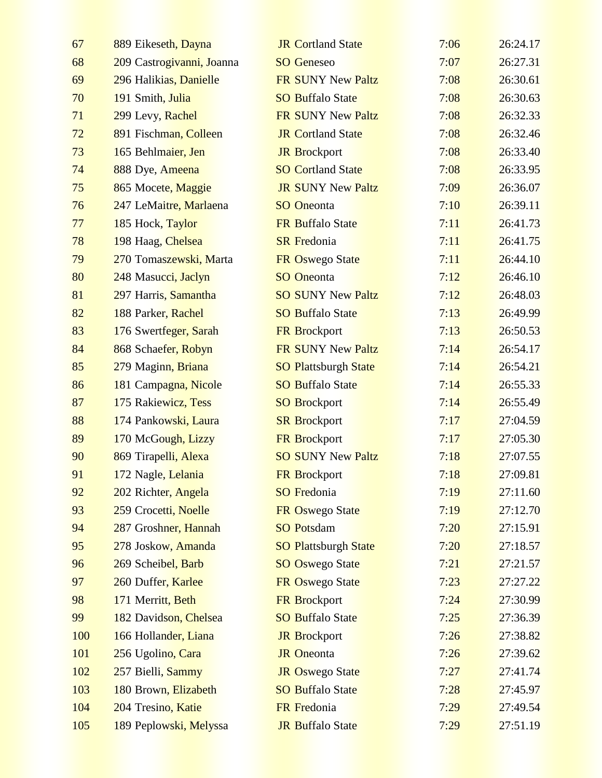| 67  | 889 Eikeseth, Dayna       | <b>JR Cortland State</b>    | 7:06 | 26:24.17 |
|-----|---------------------------|-----------------------------|------|----------|
| 68  | 209 Castrogivanni, Joanna | <b>SO</b> Geneseo           | 7:07 | 26:27.31 |
| 69  | 296 Halikias, Danielle    | <b>FR SUNY New Paltz</b>    | 7:08 | 26:30.61 |
| 70  | 191 Smith, Julia          | <b>SO Buffalo State</b>     | 7:08 | 26:30.63 |
| 71  | 299 Levy, Rachel          | <b>FR SUNY New Paltz</b>    | 7:08 | 26:32.33 |
| 72  | 891 Fischman, Colleen     | <b>JR Cortland State</b>    | 7:08 | 26:32.46 |
| 73  | 165 Behlmaier, Jen        | <b>JR</b> Brockport         | 7:08 | 26:33.40 |
| 74  | 888 Dye, Ameena           | <b>SO Cortland State</b>    | 7:08 | 26:33.95 |
| 75  | 865 Mocete, Maggie        | <b>JR SUNY New Paltz</b>    | 7:09 | 26:36.07 |
| 76  | 247 LeMaitre, Marlaena    | <b>SO</b> Oneonta           | 7:10 | 26:39.11 |
| 77  | 185 Hock, Taylor          | <b>FR Buffalo State</b>     | 7:11 | 26:41.73 |
| 78  | 198 Haag, Chelsea         | <b>SR</b> Fredonia          | 7:11 | 26:41.75 |
| 79  | 270 Tomaszewski, Marta    | <b>FR Oswego State</b>      | 7:11 | 26:44.10 |
| 80  | 248 Masucci, Jaclyn       | <b>SO</b> Oneonta           | 7:12 | 26:46.10 |
| 81  | 297 Harris, Samantha      | <b>SO SUNY New Paltz</b>    | 7:12 | 26:48.03 |
| 82  | 188 Parker, Rachel        | <b>SO Buffalo State</b>     | 7:13 | 26:49.99 |
| 83  | 176 Swertfeger, Sarah     | <b>FR Brockport</b>         | 7:13 | 26:50.53 |
| 84  | 868 Schaefer, Robyn       | <b>FR SUNY New Paltz</b>    | 7:14 | 26:54.17 |
| 85  | 279 Maginn, Briana        | <b>SO Plattsburgh State</b> | 7:14 | 26:54.21 |
| 86  | 181 Campagna, Nicole      | <b>SO Buffalo State</b>     | 7:14 | 26:55.33 |
| 87  | 175 Rakiewicz, Tess       | <b>SO Brockport</b>         | 7:14 | 26:55.49 |
| 88  | 174 Pankowski, Laura      | <b>SR Brockport</b>         | 7:17 | 27:04.59 |
| 89  | 170 McGough, Lizzy        | <b>FR Brockport</b>         | 7:17 | 27:05.30 |
| 90  | 869 Tirapelli, Alexa      | <b>SO SUNY New Paltz</b>    | 7:18 | 27:07.55 |
| 91  | 172 Nagle, Lelania        | <b>FR Brockport</b>         | 7:18 | 27:09.81 |
| 92  | 202 Richter, Angela       | <b>SO</b> Fredonia          | 7:19 | 27:11.60 |
| 93  | 259 Crocetti, Noelle      | <b>FR Oswego State</b>      | 7:19 | 27:12.70 |
| 94  | 287 Groshner, Hannah      | <b>SO Potsdam</b>           | 7:20 | 27:15.91 |
| 95  | 278 Joskow, Amanda        | <b>SO Plattsburgh State</b> | 7:20 | 27:18.57 |
| 96  | 269 Scheibel, Barb        | <b>SO Oswego State</b>      | 7:21 | 27:21.57 |
| 97  | 260 Duffer, Karlee        | FR Oswego State             | 7:23 | 27:27.22 |
| 98  | 171 Merritt, Beth         | <b>FR Brockport</b>         | 7:24 | 27:30.99 |
| 99  | 182 Davidson, Chelsea     | <b>SO Buffalo State</b>     | 7:25 | 27:36.39 |
| 100 | 166 Hollander, Liana      | <b>JR</b> Brockport         | 7:26 | 27:38.82 |
| 101 | 256 Ugolino, Cara         | <b>JR</b> Oneonta           | 7:26 | 27:39.62 |
| 102 | 257 Bielli, Sammy         | <b>JR Oswego State</b>      | 7:27 | 27:41.74 |
| 103 | 180 Brown, Elizabeth      | <b>SO Buffalo State</b>     | 7:28 | 27:45.97 |
| 104 | 204 Tresino, Katie        | FR Fredonia                 | 7:29 | 27:49.54 |
| 105 | 189 Peplowski, Melyssa    | <b>JR Buffalo State</b>     | 7:29 | 27:51.19 |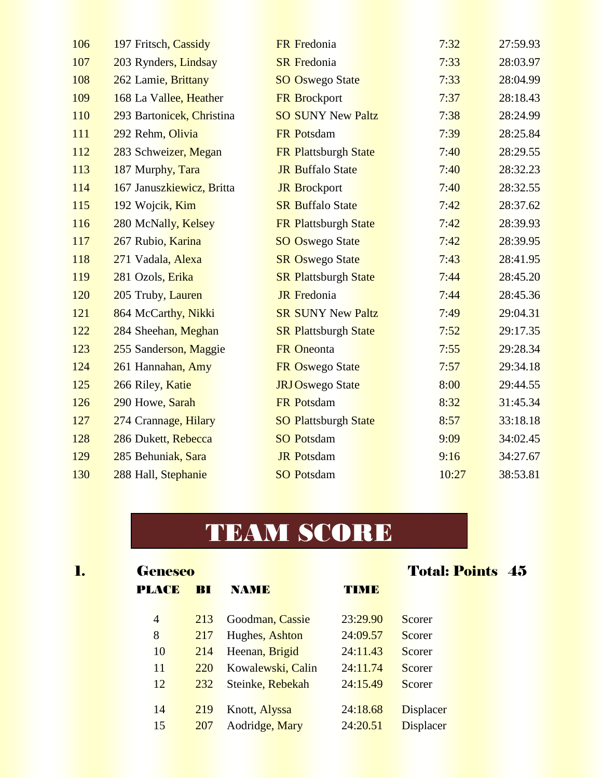| 106 | 197 Fritsch, Cassidy      | <b>FR</b> Fredonia          | 7:32  | 27:59.93 |
|-----|---------------------------|-----------------------------|-------|----------|
| 107 | 203 Rynders, Lindsay      | <b>SR</b> Fredonia          | 7:33  | 28:03.97 |
| 108 | 262 Lamie, Brittany       | <b>SO Oswego State</b>      | 7:33  | 28:04.99 |
| 109 | 168 La Vallee, Heather    | <b>FR Brockport</b>         | 7:37  | 28:18.43 |
| 110 | 293 Bartonicek, Christina | <b>SO SUNY New Paltz</b>    | 7:38  | 28:24.99 |
| 111 | 292 Rehm, Olivia          | <b>FR</b> Potsdam           | 7:39  | 28:25.84 |
| 112 | 283 Schweizer, Megan      | <b>FR Plattsburgh State</b> | 7:40  | 28:29.55 |
| 113 | 187 Murphy, Tara          | <b>JR Buffalo State</b>     | 7:40  | 28:32.23 |
| 114 | 167 Januszkiewicz, Britta | <b>JR</b> Brockport         | 7:40  | 28:32.55 |
| 115 | 192 Wojcik, Kim           | <b>SR Buffalo State</b>     | 7:42  | 28:37.62 |
| 116 | 280 McNally, Kelsey       | <b>FR Plattsburgh State</b> | 7:42  | 28:39.93 |
| 117 | 267 Rubio, Karina         | <b>SO Oswego State</b>      | 7:42  | 28:39.95 |
| 118 | 271 Vadala, Alexa         | <b>SR Oswego State</b>      | 7:43  | 28:41.95 |
| 119 | 281 Ozols, Erika          | <b>SR Plattsburgh State</b> | 7:44  | 28:45.20 |
| 120 | 205 Truby, Lauren         | <b>JR</b> Fredonia          | 7:44  | 28:45.36 |
| 121 | 864 McCarthy, Nikki       | <b>SR SUNY New Paltz</b>    | 7:49  | 29:04.31 |
| 122 | 284 Sheehan, Meghan       | <b>SR Plattsburgh State</b> | 7:52  | 29:17.35 |
| 123 | 255 Sanderson, Maggie     | <b>FR</b> Oneonta           | 7:55  | 29:28.34 |
| 124 | 261 Hannahan, Amy         | <b>FR Oswego State</b>      | 7:57  | 29:34.18 |
| 125 | 266 Riley, Katie          | <b>JRJ Oswego State</b>     | 8:00  | 29:44.55 |
| 126 | 290 Howe, Sarah           | <b>FR</b> Potsdam           | 8:32  | 31:45.34 |
| 127 | 274 Crannage, Hilary      | <b>SO Plattsburgh State</b> | 8:57  | 33:18.18 |
| 128 | 286 Dukett, Rebecca       | <b>SO Potsdam</b>           | 9:09  | 34:02.45 |
| 129 | 285 Behuniak, Sara        | <b>JR</b> Potsdam           | 9:16  | 34:27.67 |
| 130 | 288 Hall, Stephanie       | <b>SO Potsdam</b>           | 10:27 | 38:53.81 |

# TEAM SCORE

# PLACE BI NAME TIME 213 Goodman, Cassie 23:29.90 Scorer 8 217 Hughes, Ashton 24:09.57 Scorer 214 Heenan, Brigid 24:11.43 Scorer 220 Kowalewski, Calin 24:11.74 Scorer 232 Steinke, Rebekah 24:15.49 Scorer 219 Knott, Alyssa 24:18.68 Displacer 207 Aodridge, Mary 24:20.51 Displacer

# 1. Geneseo Total: Points 45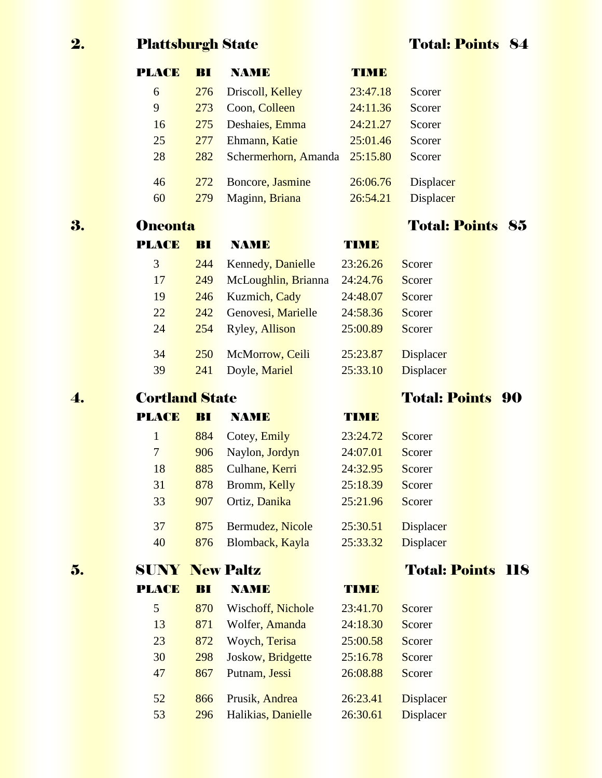# 2. Plattsburgh State Total: Points 84

| <b>PLACE</b> | RT  | <b>NAME</b>          | TIMB     |                  |
|--------------|-----|----------------------|----------|------------------|
| 6            | 276 | Driscoll, Kelley     | 23:47.18 | Scorer           |
| 9            | 273 | Coon, Colleen        | 24:11.36 | Scorer           |
| 16           | 275 | Deshaies, Emma       | 24:21.27 | Scorer           |
| 25           | 277 | Ehmann, Katie        | 25:01.46 | Scorer           |
| 28           | 282 | Schermerhorn, Amanda | 25:15.80 | Scorer           |
| 46           | 272 | Boncore, Jasmine     | 26:06.76 | <b>Displacer</b> |
| 60           | 279 | Maginn, Briana       | 26:54.21 | <b>Displacer</b> |

## 3. Oneonta Total: Points 85

| 3  | 244 | Kennedy, Danielle      | 23:26.26 | Scorer           |
|----|-----|------------------------|----------|------------------|
| 17 | 249 | McLoughlin, Brianna    | 24:24.76 | Scorer           |
| 19 | 246 | Kuzmich, Cady          | 24:48.07 | Scorer           |
| 22 | 242 | Genovesi, Marielle     | 24:58.36 | Scorer           |
| 24 | 254 | <b>Ryley</b> , Allison | 25:00.89 | Scorer           |
| 34 | 250 | McMorrow, Ceili        | 25:23.87 | <b>Displacer</b> |
|    |     |                        |          |                  |
| 39 | 241 | Doyle, Mariel          | 25:33.10 | Displacer        |
|    |     |                        |          |                  |

PLACE BI NAME TIME

# **4. Cortland State Total: Points 90**

PLACE BI NAME TIME

| 1  | 884 | Cotey, Emily     | 23:24.72 | Scorer           |
|----|-----|------------------|----------|------------------|
| 7  | 906 | Naylon, Jordyn   | 24:07.01 | Scorer           |
| 18 | 885 | Culhane, Kerri   | 24:32.95 | Scorer           |
| 31 | 878 | Bromm, Kelly     | 25:18.39 | Scorer           |
| 33 | 907 | Ortiz, Danika    | 25:21.96 | Scorer           |
|    |     |                  |          |                  |
| 37 | 875 | Bermudez, Nicole | 25:30.51 | <b>Displacer</b> |
| 40 | 876 | Blomback, Kayla  | 25:33.32 | <b>Displacer</b> |

### PLACE BI NAME TIME

| 5 <sup>1</sup>  | 870 | Wischoff, Nichole  | 23:41.70 | Scorer           |
|-----------------|-----|--------------------|----------|------------------|
| 13              | 871 | Wolfer, Amanda     | 24:18.30 | Scorer           |
| 23              | 872 | Woych, Terisa      | 25:00.58 | Scorer           |
| 30 <sup>°</sup> | 298 | Joskow, Bridgette  | 25:16.78 | Scorer           |
| 47              | 867 | Putnam, Jessi      | 26:08.88 | Scorer           |
| 52              | 866 | Prusik, Andrea     | 26:23.41 | <b>Displacer</b> |
|                 |     |                    |          |                  |
| 53              | 296 | Halikias, Danielle | 26:30.61 | <b>Displacer</b> |

| 26 | Scorer    |  |
|----|-----------|--|
| 76 | Scorer    |  |
| 07 | Scorer    |  |
| 36 | Scorer    |  |
| 89 | Scorer    |  |
| 87 | Displacer |  |
| 10 | Displacer |  |

# **5. SUNY New Paltz Total: Points 118**

| "  | ponei  |  |
|----|--------|--|
| 58 | Scorer |  |
| 78 | Scorer |  |
| 38 | Scorer |  |
|    |        |  |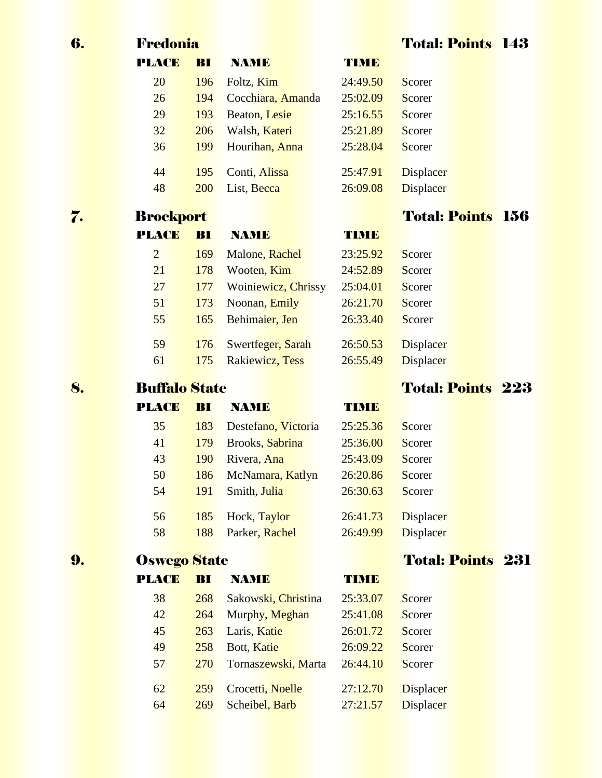| 6.        | Fredonia                            |     |                     |          |                  | <b>Total: Points 143</b> |
|-----------|-------------------------------------|-----|---------------------|----------|------------------|--------------------------|
|           | <b>PLACE</b>                        | BI  | <b>NAME</b>         | TIME     |                  |                          |
|           | 20                                  | 196 | Foltz, Kim          | 24:49.50 | Scorer           |                          |
|           | 26                                  | 194 | Cocchiara, Amanda   | 25:02.09 | Scorer           |                          |
|           | 29                                  | 193 | Beaton, Lesie       | 25:16.55 | Scorer           |                          |
|           | 32                                  | 206 | Walsh, Kateri       | 25:21.89 | Scorer           |                          |
|           | 36                                  | 199 | Hourihan, Anna      | 25:28.04 | Scorer           |                          |
|           | 44                                  | 195 | Conti, Alissa       | 25:47.91 | <b>Displacer</b> |                          |
|           | 48                                  | 200 | List, Becca         | 26:09.08 | <b>Displacer</b> |                          |
| 7.        | <b>Brockport</b>                    |     |                     |          |                  | Total: Points 156        |
|           | <b>PLACE</b>                        | BI  | <b>NAME</b>         | TIME     |                  |                          |
|           | $\overline{2}$                      | 169 | Malone, Rachel      | 23:25.92 | Scorer           |                          |
|           | 21                                  | 178 | Wooten, Kim         | 24:52.89 | Scorer           |                          |
|           | 27                                  | 177 | Woiniewicz, Chrissy | 25:04.01 | Scorer           |                          |
|           | 51                                  | 173 | Noonan, Emily       | 26:21.70 | Scorer           |                          |
|           | 55                                  | 165 | Behimaier, Jen      | 26:33.40 | Scorer           |                          |
|           | 59                                  | 176 | Swertfeger, Sarah   | 26:50.53 | <b>Displacer</b> |                          |
|           | 61                                  | 175 | Rakiewicz, Tess     | 26:55.49 | <b>Displacer</b> |                          |
| <b>8.</b> | <b>Buffalo State</b>                |     |                     |          |                  | <b>Total: Points 223</b> |
|           |                                     |     |                     |          |                  |                          |
|           | <b>PLACE</b>                        | BI  | <b>NAME</b>         | TIME     |                  |                          |
|           | 35                                  | 183 | Destefano, Victoria | 25:25.36 | Scorer           |                          |
|           | 41                                  | 179 | Brooks, Sabrina     | 25:36.00 | Scorer           |                          |
|           | 43                                  | 190 | Rivera, Ana         | 25:43.09 | Scorer           |                          |
|           | 50                                  | 186 | McNamara, Katlyn    | 26:20.86 | Scorer           |                          |
|           | 54                                  | 191 | Smith, Julia        | 26:30.63 | Scorer           |                          |
|           | 56                                  | 185 | Hock, Taylor        | 26:41.73 | <b>Displacer</b> |                          |
|           | 58                                  | 188 | Parker, Rachel      | 26:49.99 | <b>Displacer</b> |                          |
|           |                                     |     |                     |          |                  | <b>Total: Points 231</b> |
|           | <b>Oswego State</b><br><b>PLACE</b> | BI  | <b>NAME</b>         | TIME     |                  |                          |
| 9.        | 38                                  | 268 | Sakowski, Christina | 25:33.07 | Scorer           |                          |
|           | 42                                  | 264 | Murphy, Meghan      | 25:41.08 | Scorer           |                          |
|           | 45                                  | 263 | Laris, Katie        | 26:01.72 | Scorer           |                          |
|           | 49                                  | 258 | Bott, Katie         | 26:09.22 | Scorer           |                          |
|           | 57                                  | 270 | Tornaszewski, Marta | 26:44.10 | Scorer           |                          |
|           | 62                                  | 259 | Crocetti, Noelle    | 27:12.70 | <b>Displacer</b> |                          |
|           | 64                                  | 269 | Scheibel, Barb      | 27:21.57 | <b>Displacer</b> |                          |